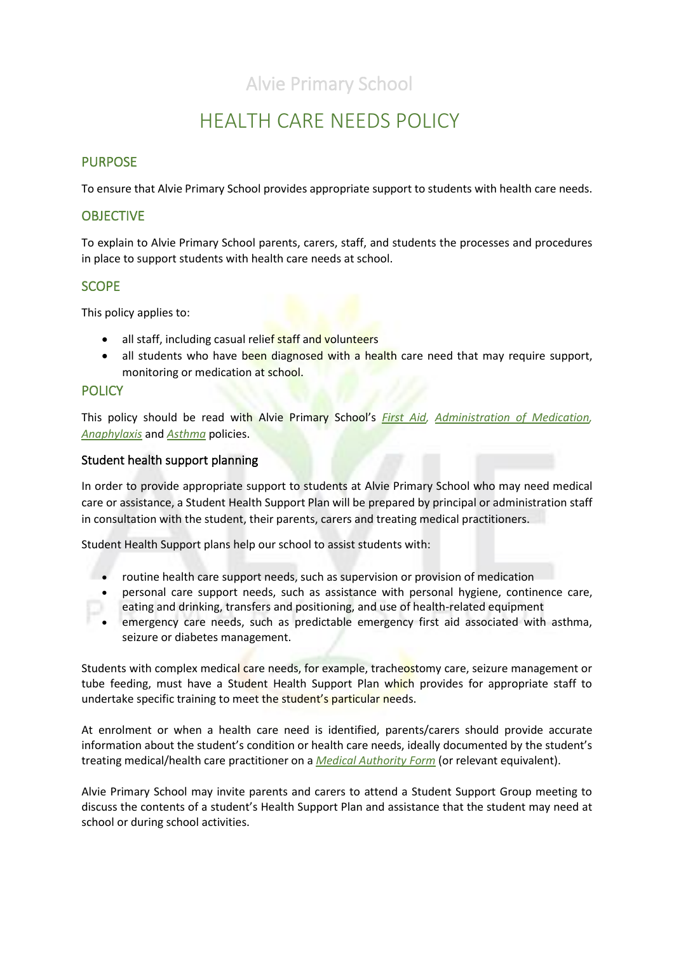## Alvie Primary School

## HEALTH CARE NEEDS POLICY

## PURPOSE

To ensure that Alvie Primary School provides appropriate support to students with health care needs.

### **OBJECTIVE**

To explain to Alvie Primary School parents, carers, staff, and students the processes and procedures in place to support students with health care needs at school.

### **SCOPE**

This policy applies to:

- all staff, including casual relief staff and volunteers
- all students who have been diagnosed with a health care need that may require support, monitoring or medication at school.

#### **POLICY**

This policy should be read with Alvie Primary School's *[First Aid,](file://///6201AFS01/Users/POLICIES/To%20be%20updated/First%20Aid%20Policy.pdf) [Administration of Medication,](file://///6201AFS01/Users/POLICIES/To%20be%20updated/Administration%20of%20Medication%20Policy%202019.pdf) [Anaphylaxis](file://///6201AFS01/Users/POLICIES/To%20be%20updated/Anaphylaxis%20Policy%202019.pdf)* and *[Asthma](file://///6201AFS01/Users/POLICIES/To%20be%20updated/Asthma%20Policy%202019%20.pdf)* policies.

#### Student health support planning

In order to provide appropriate support to students at Alvie Primary School who may need medical care or assistance, a Student Health Support Plan will be prepared by principal or administration staff in consultation with the student, their parents, carers and treating medical practitioners.

Student Health Support plans help our school to assist students with:

- routine health care support needs, such as supervision or provision of medication
- personal care support needs, such as assistance with personal hygiene, continence care, eating and drinking, transfers and positioning, and use of health-related equipment
- emergency care needs, such as predictable emergency first aid associated with asthma, seizure or diabetes management.

Students with complex medical care needs, for example, tracheostomy care, seizure management or tube feeding, must have a Student Health Support Plan which provides for appropriate staff to undertake specific training to meet the student's particular needs.

At enrolment or when a health care need is identified, parents/carers should provide accurate information about the student's condition or health care needs, ideally documented by the student's treating medical/health care practitioner on a *[Medical Authority](file://///6201AFS01/Users/ADMIN%20FORMS%20relating%20POLICIES/medicationauthorityform%20(1).pdf) Form* (or relevant equivalent).

Alvie Primary School may invite parents and carers to attend a Student Support Group meeting to discuss the contents of a student's Health Support Plan and assistance that the student may need at school or during school activities.